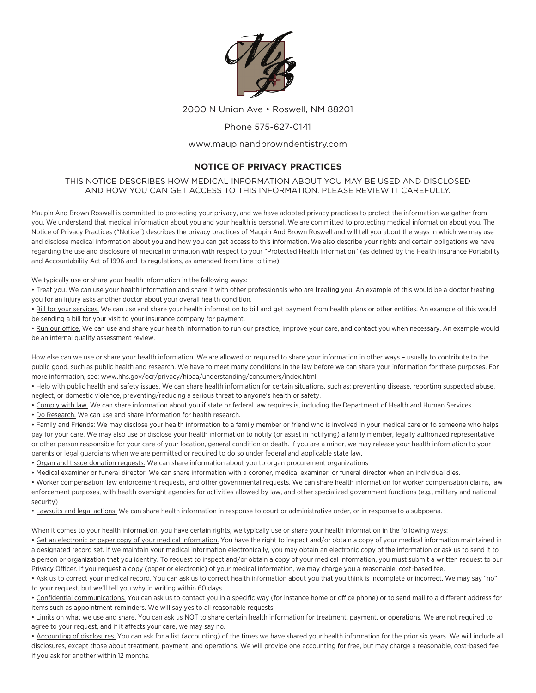

2000 N Union Ave • Roswell, NM 88201

## Phone 575-627-0141

## www.maupinandbrowndentistry.com

## **NOTICE OF PRIVACY PRACTICES**

THIS NOTICE DESCRIBES HOW MEDICAL INFORMATION ABOUT YOU MAY BE USED AND DISCLOSED AND HOW YOU CAN GET ACCESS TO THIS INFORMATION. PLEASE REVIEW IT CAREFULLY.

Maupin And Brown Roswell is committed to protecting your privacy, and we have adopted privacy practices to protect the information we gather from you. We understand that medical information about you and your health is personal. We are committed to protecting medical information about you. The Notice of Privacy Practices ("Notice") describes the privacy practices of Maupin And Brown Roswell and will tell you about the ways in which we may use and disclose medical information about you and how you can get access to this information. We also describe your rights and certain obligations we have regarding the use and disclosure of medical information with respect to your "Protected Health Information" (as defined by the Health Insurance Portability and Accountability Act of 1996 and its regulations, as amended from time to time).

We typically use or share your health information in the following ways:

• Treat you. We can use your health information and share it with other professionals who are treating you. An example of this would be a doctor treating you for an injury asks another doctor about your overall health condition.

• Bill for your services. We can use and share your health information to bill and get payment from health plans or other entities. An example of this would be sending a bill for your visit to your insurance company for payment.

• Run our office. We can use and share your health information to run our practice, improve your care, and contact you when necessary. An example would be an internal quality assessment review.

How else can we use or share your health information. We are allowed or required to share your information in other ways – usually to contribute to the public good, such as public health and research. We have to meet many conditions in the law before we can share your information for these purposes. For more information, see: www.hhs.gov/ocr/privacy/hipaa/understanding/consumers/index.html.

• Help with public health and safety issues. We can share health information for certain situations, such as: preventing disease, reporting suspected abuse, neglect, or domestic violence, preventing/reducing a serious threat to anyone's health or safety.

. Comply with law. We can share information about you if state or federal law requires is, including the Department of Health and Human Services.

• Do Research. We can use and share information for health research.

• Family and Friends: We may disclose your health information to a family member or friend who is involved in your medical care or to someone who helps pay for your care. We may also use or disclose your health information to notify (or assist in notifying) a family member, legally authorized representative or other person responsible for your care of your location, general condition or death. If you are a minor, we may release your health information to your parents or legal guardians when we are permitted or required to do so under federal and applicable state law.

• Organ and tissue donation requests. We can share information about you to organ procurement organizations

• Medical examiner or funeral director. We can share information with a coroner, medical examiner, or funeral director when an individual dies.

• Worker compensation, law enforcement requests, and other governmental requests. We can share health information for worker compensation claims, law enforcement purposes, with health oversight agencies for activities allowed by law, and other specialized government functions (e.g., military and national security)

• Lawsuits and legal actions. We can share health information in response to court or administrative order, or in response to a subpoena.

When it comes to your health information, you have certain rights, we typically use or share your health information in the following ways:

• Get an electronic or paper copy of your medical information. You have the right to inspect and/or obtain a copy of your medical information maintained in a designated record set. If we maintain your medical information electronically, you may obtain an electronic copy of the information or ask us to send it to a person or organization that you identify. To request to inspect and/or obtain a copy of your medical information, you must submit a written request to our Privacy Officer. If you request a copy (paper or electronic) of your medical information, we may charge you a reasonable, cost-based fee.

• Ask us to correct your medical record. You can ask us to correct health information about you that you think is incomplete or incorrect. We may say "no" to your request, but we'll tell you why in writing within 60 days.

• Confidential communications. You can ask us to contact you in a specific way (for instance home or office phone) or to send mail to a different address for items such as appointment reminders. We will say yes to all reasonable requests.

• Limits on what we use and share. You can ask us NOT to share certain health information for treatment, payment, or operations. We are not required to agree to your request, and if it affects your care, we may say no.

• Accounting of disclosures. You can ask for a list (accounting) of the times we have shared your health information for the prior six years. We will include all disclosures, except those about treatment, payment, and operations. We will provide one accounting for free, but may charge a reasonable, cost-based fee if you ask for another within 12 months.